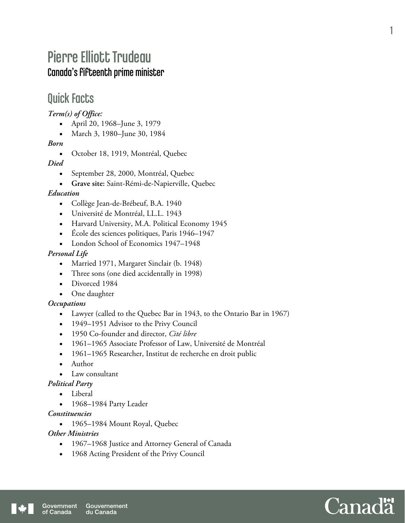# Pierre Elliott Trudeau Canada's fifteenth prime minister

## Quick Facts

*Term(s) of Office:* 

- April 20, 1968–June 3, 1979
- March 3, 1980–June 30, 1984

#### *Born*

October 18, 1919, Montréal, Quebec

#### *Died*

- September 28, 2000, Montréal, Quebec
- **Grave site:** Saint-Rémi-de-Napierville, Quebec

#### *Education*

- Collège Jean-de-Brébeuf, B.A. 1940
- Université de Montréal, LL.L. 1943
- Harvard University, M.A. Political Economy 1945
- École des sciences politiques, Paris 1946–1947
- London School of Economics 1947–1948

#### *Personal Life*

- Married 1971, Margaret Sinclair (b. 1948)
- Three sons (one died accidentally in 1998)
- Divorced 1984
- One daughter

#### *Occupations*

- Lawyer (called to the Quebec Bar in 1943, to the Ontario Bar in 1967)
- 1949–1951 Advisor to the Privy Council
- 1950 Co-founder and director, *Cité libre*
- 1961–1965 Associate Professor of Law, Université de Montréal
- 1961–1965 Researcher, Institut de recherche en droit public
- Author
- Law consultant

#### *Political Party*

- Liberal
- 1968-1984 Party Leader

#### *Constituencies*

1965–1984 Mount Royal, Quebec

#### *Other Ministries*

- 1967–1968 Justice and Attorney General of Canada
- 1968 Acting President of the Privy Council

1

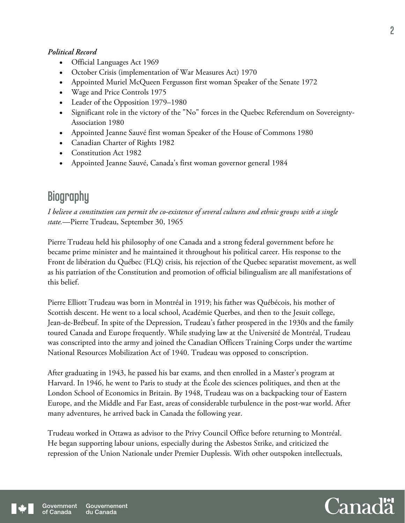#### *Political Record*

- Official Languages Act 1969
- October Crisis (implementation of War Measures Act) 1970
- Appointed Muriel McQueen Fergusson first woman Speaker of the Senate 1972
- Wage and Price Controls 1975
- Leader of the Opposition 1979–1980
- Significant role in the victory of the "No" forces in the Quebec Referendum on Sovereignty-Association 1980
- Appointed Jeanne Sauvé first woman Speaker of the House of Commons 1980
- Canadian Charter of Rights 1982
- Constitution Act 1982
- Appointed Jeanne Sauvé, Canada's first woman governor general 1984

## **Biography**

*I believe a constitution can permit the co-existence of several cultures and ethnic groups with a single state.*—Pierre Trudeau, September 30, 1965

Pierre Trudeau held his philosophy of one Canada and a strong federal government before he became prime minister and he maintained it throughout his political career. His response to the Front de libération du Québec (FLQ) crisis, his rejection of the Quebec separatist movement, as well as his patriation of the Constitution and promotion of official bilingualism are all manifestations of this belief.

Pierre Elliott Trudeau was born in Montréal in 1919; his father was Québécois, his mother of Scottish descent. He went to a local school, Académie Querbes, and then to the Jesuit college, Jean-de-Brébeuf. In spite of the Depression, Trudeau's father prospered in the 1930s and the family toured Canada and Europe frequently. While studying law at the Université de Montréal, Trudeau was conscripted into the army and joined the Canadian Officers Training Corps under the wartime National Resources Mobilization Act of 1940. Trudeau was opposed to conscription.

After graduating in 1943, he passed his bar exams, and then enrolled in a Master's program at Harvard. In 1946, he went to Paris to study at the École des sciences politiques, and then at the London School of Economics in Britain. By 1948, Trudeau was on a backpacking tour of Eastern Europe, and the Middle and Far East, areas of considerable turbulence in the post-war world. After many adventures, he arrived back in Canada the following year.

Trudeau worked in Ottawa as advisor to the Privy Council Office before returning to Montréal. He began supporting labour unions, especially during the Asbestos Strike, and criticized the repression of the Union Nationale under Premier Duplessis. With other outspoken intellectuals,



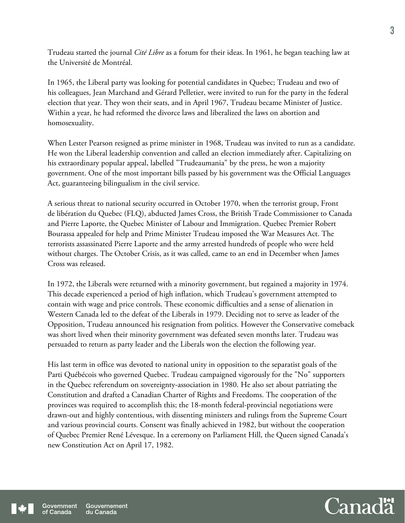Trudeau started the journal *Cité Libre* as a forum for their ideas. In 1961, he began teaching law at the Université de Montréal.

In 1965, the Liberal party was looking for potential candidates in Quebec; Trudeau and two of his colleagues, Jean Marchand and Gérard Pelletier, were invited to run for the party in the federal election that year. They won their seats, and in April 1967, Trudeau became Minister of Justice. Within a year, he had reformed the divorce laws and liberalized the laws on abortion and homosexuality.

When Lester Pearson resigned as prime minister in 1968, Trudeau was invited to run as a candidate. He won the Liberal leadership convention and called an election immediately after. Capitalizing on his extraordinary popular appeal, labelled "Trudeaumania" by the press, he won a majority government. One of the most important bills passed by his government was the Official Languages Act, guaranteeing bilingualism in the civil service.

A serious threat to national security occurred in October 1970, when the terrorist group, Front de libération du Quebec (FLQ), abducted James Cross, the British Trade Commissioner to Canada and Pierre Laporte, the Quebec Minister of Labour and Immigration. Quebec Premier Robert Bourassa appealed for help and Prime Minister Trudeau imposed the War Measures Act. The terrorists assassinated Pierre Laporte and the army arrested hundreds of people who were held without charges. The October Crisis, as it was called, came to an end in December when James Cross was released.

In 1972, the Liberals were returned with a minority government, but regained a majority in 1974. This decade experienced a period of high inflation, which Trudeau's government attempted to contain with wage and price controls. These economic difficulties and a sense of alienation in Western Canada led to the defeat of the Liberals in 1979. Deciding not to serve as leader of the Opposition, Trudeau announced his resignation from politics. However the Conservative comeback was short lived when their minority government was defeated seven months later. Trudeau was persuaded to return as party leader and the Liberals won the election the following year.

His last term in office was devoted to national unity in opposition to the separatist goals of the Parti Québécois who governed Quebec. Trudeau campaigned vigorously for the "No" supporters in the Quebec referendum on sovereignty-association in 1980. He also set about patriating the Constitution and drafted a Canadian Charter of Rights and Freedoms. The cooperation of the provinces was required to accomplish this; the 18-month federal-provincial negotiations were drawn-out and highly contentious, with dissenting ministers and rulings from the Supreme Court and various provincial courts. Consent was finally achieved in 1982, but without the cooperation of Quebec Premier René Lévesque. In a ceremony on Parliament Hill, the Queen signed Canada's new Constitution Act on April 17, 1982.

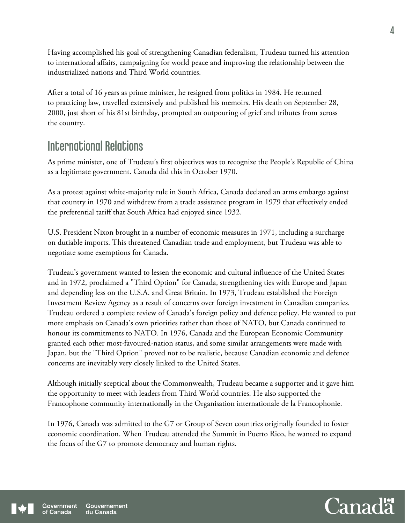Having accomplished his goal of strengthening Canadian federalism, Trudeau turned his attention to international affairs, campaigning for world peace and improving the relationship between the industrialized nations and Third World countries.

After a total of 16 years as prime minister, he resigned from politics in 1984. He returned to practicing law, travelled extensively and published his memoirs. His death on September 28, 2000, just short of his 81st birthday, prompted an outpouring of grief and tributes from across the country.

# International Relations

As prime minister, one of Trudeau's first objectives was to recognize the People's Republic of China as a legitimate government. Canada did this in October 1970.

As a protest against white-majority rule in South Africa, Canada declared an arms embargo against that country in 1970 and withdrew from a trade assistance program in 1979 that effectively ended the preferential tariff that South Africa had enjoyed since 1932.

U.S. President Nixon brought in a number of economic measures in 1971, including a surcharge on dutiable imports. This threatened Canadian trade and employment, but Trudeau was able to negotiate some exemptions for Canada.

Trudeau's government wanted to lessen the economic and cultural influence of the United States and in 1972, proclaimed a "Third Option" for Canada, strengthening ties with Europe and Japan and depending less on the U.S.A. and Great Britain. In 1973, Trudeau established the Foreign Investment Review Agency as a result of concerns over foreign investment in Canadian companies. Trudeau ordered a complete review of Canada's foreign policy and defence policy. He wanted to put more emphasis on Canada's own priorities rather than those of NATO, but Canada continued to honour its commitments to NATO. In 1976, Canada and the European Economic Community granted each other most-favoured-nation status, and some similar arrangements were made with Japan, but the "Third Option" proved not to be realistic, because Canadian economic and defence concerns are inevitably very closely linked to the United States.

Although initially sceptical about the Commonwealth, Trudeau became a supporter and it gave him the opportunity to meet with leaders from Third World countries. He also supported the Francophone community internationally in the Organisation internationale de la Francophonie.

In 1976, Canada was admitted to the G7 or Group of Seven countries originally founded to foster economic coordination. When Trudeau attended the Summit in Puerto Rico, he wanted to expand the focus of the G7 to promote democracy and human rights.

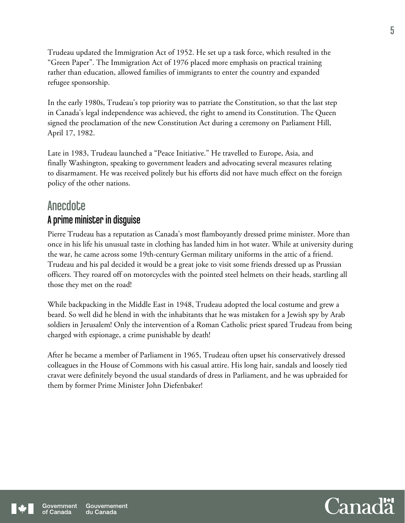Trudeau updated the Immigration Act of 1952. He set up a task force, which resulted in the "Green Paper". The Immigration Act of 1976 placed more emphasis on practical training rather than education, allowed families of immigrants to enter the country and expanded refugee sponsorship.

In the early 1980s, Trudeau's top priority was to patriate the Constitution, so that the last step in Canada's legal independence was achieved, the right to amend its Constitution. The Queen signed the proclamation of the new Constitution Act during a ceremony on Parliament Hill, April 17, 1982.

Late in 1983, Trudeau launched a "Peace Initiative." He travelled to Europe, Asia, and finally Washington, speaking to government leaders and advocating several measures relating to disarmament. He was received politely but his efforts did not have much effect on the foreign policy of the other nations.

### **Anecdote**

### A prime minister in disguise

Pierre Trudeau has a reputation as Canada's most flamboyantly dressed prime minister. More than once in his life his unusual taste in clothing has landed him in hot water. While at university during the war, he came across some 19th-century German military uniforms in the attic of a friend. Trudeau and his pal decided it would be a great joke to visit some friends dressed up as Prussian officers. They roared off on motorcycles with the pointed steel helmets on their heads, startling all those they met on the road!

While backpacking in the Middle East in 1948, Trudeau adopted the local costume and grew a beard. So well did he blend in with the inhabitants that he was mistaken for a Jewish spy by Arab soldiers in Jerusalem! Only the intervention of a Roman Catholic priest spared Trudeau from being charged with espionage, a crime punishable by death!

After he became a member of Parliament in 1965, Trudeau often upset his conservatively dressed colleagues in the House of Commons with his casual attire. His long hair, sandals and loosely tied cravat were definitely beyond the usual standards of dress in Parliament, and he was upbraided for them by former Prime Minister John Diefenbaker!



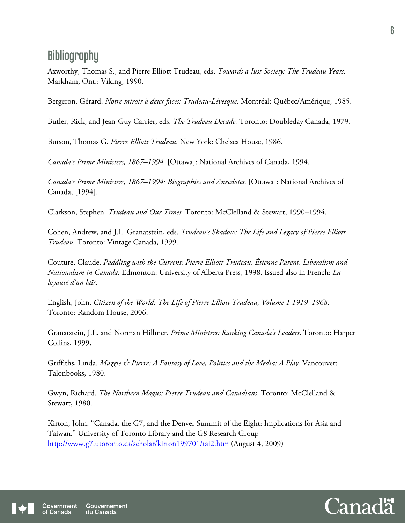# **Bibliography**

Axworthy, Thomas S., and Pierre Elliott Trudeau, eds. *Towards a Just Society: The Trudeau Years.* Markham, Ont.: Viking, 1990.

Bergeron, Gérard. *Notre miroir à deux faces: Trudeau-Lévesque.* Montréal: Québec/Amérique, 1985.

Butler, Rick, and Jean-Guy Carrier, eds. *The Trudeau Decade.* Toronto: Doubleday Canada, 1979.

Butson, Thomas G. *Pierre Elliott Trudeau*. New York: Chelsea House, 1986.

*Canada's Prime Ministers, 1867–1994.* [Ottawa]: National Archives of Canada, 1994.

*Canada's Prime Ministers, 1867–1994: Biographies and Anecdotes.* [Ottawa]: National Archives of Canada, [1994].

Clarkson, Stephen. *Trudeau and Our Times.* Toronto: McClelland & Stewart, 1990–1994.

Cohen, Andrew, and J.L. Granatstein, eds. *Trudeau's Shadow: The Life and Legacy of Pierre Elliott Trudeau.* Toronto: Vintage Canada, 1999.

Couture, Claude. *Paddling with the Current: Pierre Elliott Trudeau, Étienne Parent, Liberalism and Nationalism in Canada.* Edmonton: University of Alberta Press, 1998. Issued also in French: *La loyauté d'un laïc.* 

English, John. *Citizen of the World: The Life of Pierre Elliott Trudeau, Volume 1 1919–1968*. Toronto: Random House, 2006.

Granatstein, J.L. and Norman Hillmer. *Prime Ministers: Ranking Canada's Leaders*. Toronto: Harper Collins, 1999.

Griffiths, Linda. *Maggie & Pierre: A Fantasy of Love, Politics and the Media: A Play.* Vancouver: Talonbooks, 1980.

Gwyn, Richard. *The Northern Magus: Pierre Trudeau and Canadians*. Toronto: McClelland & Stewart, 1980.

Kirton, John. "Canada, the G7, and the Denver Summit of the Eight: Implications for Asia and Taiwan." University of Toronto Library and the G8 Research Group http://www.g7.utoronto.ca/scholar/kirton199701/tai2.htm (August 4, 2009)